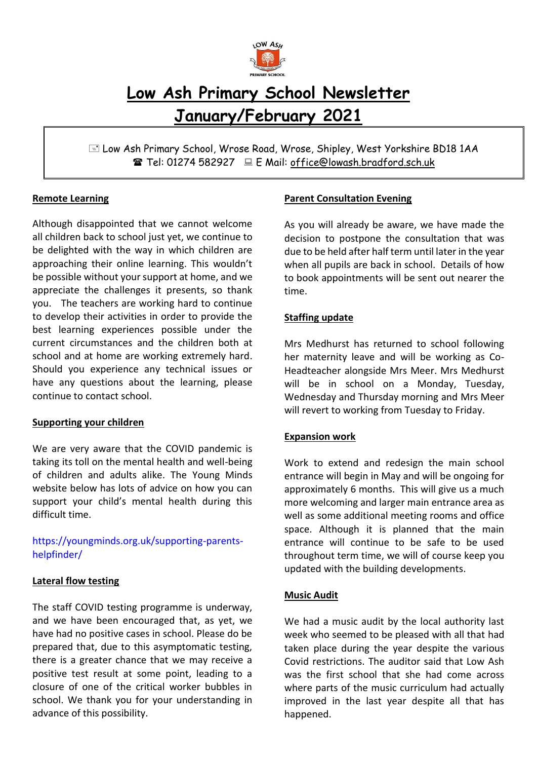

# **Low Ash Primary School Newsletter January/February 2021**

 Low Ash Primary School, Wrose Road, Wrose, Shipley, West Yorkshire BD18 1AA Tel: 01274 582927 E Mail: office@lowash.bradford.sch.uk

### **Remote Learning**

Although disappointed that we cannot welcome all children back to school just yet, we continue to be delighted with the way in which children are approaching their online learning. This wouldn't be possible without your support at home, and we appreciate the challenges it presents, so thank you. The teachers are working hard to continue to develop their activities in order to provide the best learning experiences possible under the current circumstances and the children both at school and at home are working extremely hard. Should you experience any technical issues or have any questions about the learning, please continue to contact school.

#### **Supporting your children**

We are very aware that the COVID pandemic is taking its toll on the mental health and well-being of children and adults alike. The Young Minds website below has lots of advice on how you can support your child's mental health during this difficult time.

[https://youngminds.org.uk/supporting-parents](https://youngminds.org.uk/supporting-parents-helpfinder/)[helpfinder/](https://youngminds.org.uk/supporting-parents-helpfinder/)

### **Lateral flow testing**

The staff COVID testing programme is underway, and we have been encouraged that, as yet, we have had no positive cases in school. Please do be prepared that, due to this asymptomatic testing, there is a greater chance that we may receive a positive test result at some point, leading to a closure of one of the critical worker bubbles in school. We thank you for your understanding in advance of this possibility.

### **Parent Consultation Evening**

As you will already be aware, we have made the decision to postpone the consultation that was due to be held after half term until later in the year when all pupils are back in school. Details of how to book appointments will be sent out nearer the time.

### **Staffing update**

Mrs Medhurst has returned to school following her maternity leave and will be working as Co-Headteacher alongside Mrs Meer. Mrs Medhurst will be in school on a Monday, Tuesday, Wednesday and Thursday morning and Mrs Meer will revert to working from Tuesday to Friday.

### **Expansion work**

Work to extend and redesign the main school entrance will begin in May and will be ongoing for approximately 6 months. This will give us a much more welcoming and larger main entrance area as well as some additional meeting rooms and office space. Although it is planned that the main entrance will continue to be safe to be used throughout term time, we will of course keep you updated with the building developments.

#### **Music Audit**

We had a music audit by the local authority last week who seemed to be pleased with all that had taken place during the year despite the various Covid restrictions. The auditor said that Low Ash was the first school that she had come across where parts of the music curriculum had actually improved in the last year despite all that has happened.